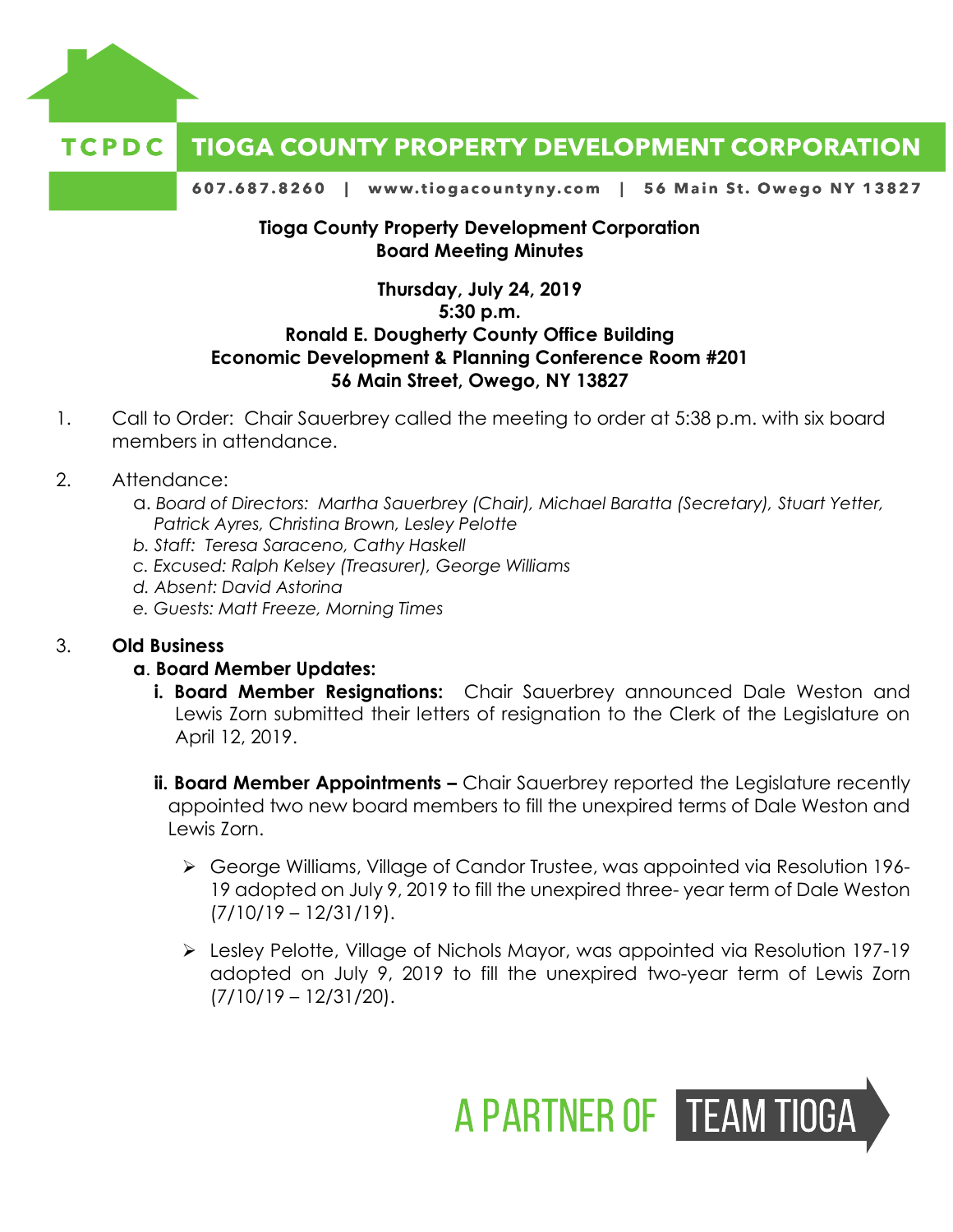

#### **TCPDC TIOGA COUNTY PROPERTY DEVELOPMENT CORPORATION**

607.687.8260 | www.tiogacountyny.com | 56 Main St. Owego NY 13827

## **Tioga County Property Development Corporation Board Meeting Minutes**

# **Thursday, July 24, 2019 5:30 p.m. Ronald E. Dougherty County Office Building Economic Development & Planning Conference Room #201 56 Main Street, Owego, NY 13827**

- 1. Call to Order: Chair Sauerbrey called the meeting to order at 5:38 p.m. with six board members in attendance.
- 2. Attendance:
	- a. *Board of Directors: Martha Sauerbrey (Chair), Michael Baratta (Secretary), Stuart Yetter, Patrick Ayres, Christina Brown, Lesley Pelotte*
	- *b. Staff: Teresa Saraceno, Cathy Haskell*
	- *c. Excused: Ralph Kelsey (Treasurer), George Williams*
	- *d. Absent: David Astorina*
	- *e. Guests: Matt Freeze, Morning Times*

### 3. **Old Business**

### **a**. **Board Member Updates:**

- **i. Board Member Resignations:** Chair Sauerbrey announced Dale Weston and Lewis Zorn submitted their letters of resignation to the Clerk of the Legislature on April 12, 2019.
- **ii. Board Member Appointments -** Chair Sauerbrey reported the Legislature recently appointed two new board members to fill the unexpired terms of Dale Weston and Lewis Zorn.
	- George Williams, Village of Candor Trustee, was appointed via Resolution 196- 19 adopted on July 9, 2019 to fill the unexpired three- year term of Dale Weston (7/10/19 – 12/31/19).
	- Lesley Pelotte, Village of Nichols Mayor, was appointed via Resolution 197-19 adopted on July 9, 2019 to fill the unexpired two-year term of Lewis Zorn (7/10/19 – 12/31/20).

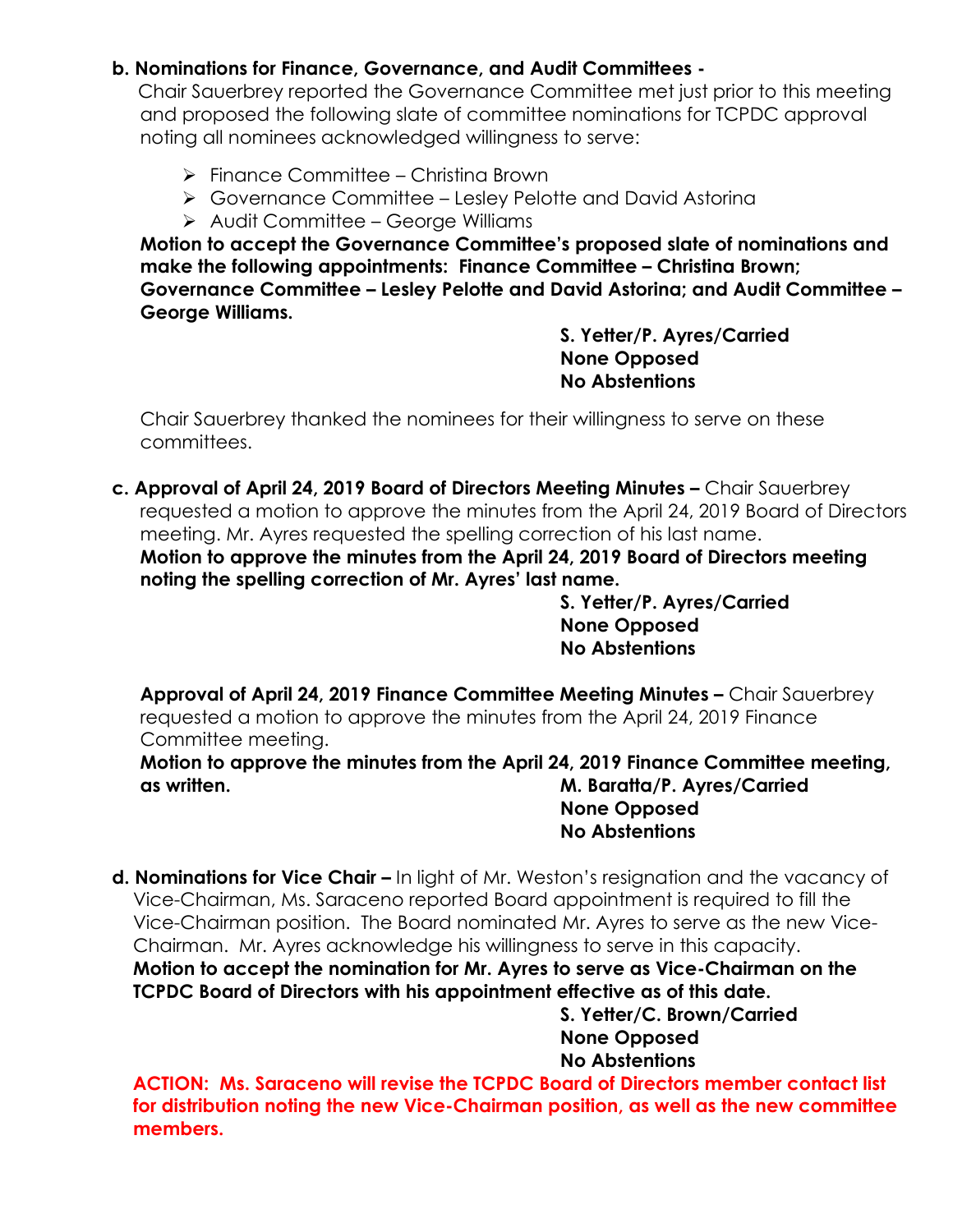# **b. Nominations for Finance, Governance, and Audit Committees -**

 Chair Sauerbrey reported the Governance Committee met just prior to this meeting and proposed the following slate of committee nominations for TCPDC approval noting all nominees acknowledged willingness to serve:

- $\triangleright$  Finance Committee Christina Brown
- Governance Committee Lesley Pelotte and David Astorina
- > Audit Committee George Williams

**Motion to accept the Governance Committee's proposed slate of nominations and make the following appointments: Finance Committee – Christina Brown; Governance Committee – Lesley Pelotte and David Astorina; and Audit Committee – George Williams.** 

**S. Yetter/P. Ayres/Carried None Opposed No Abstentions**

Chair Sauerbrey thanked the nominees for their willingness to serve on these committees.

**c. Approval of April 24, 2019 Board of Directors Meeting Minutes –** Chair Sauerbrey requested a motion to approve the minutes from the April 24, 2019 Board of Directors meeting. Mr. Ayres requested the spelling correction of his last name. **Motion to approve the minutes from the April 24, 2019 Board of Directors meeting noting the spelling correction of Mr. Ayres' last name.** 

> **S. Yetter/P. Ayres/Carried None Opposed No Abstentions**

**Approval of April 24, 2019 Finance Committee Meeting Minutes –** Chair Sauerbrey requested a motion to approve the minutes from the April 24, 2019 Finance Committee meeting.

**Motion to approve the minutes from the April 24, 2019 Finance Committee meeting, as written. M. Baratta/P. Ayres/Carried None Opposed**

**No Abstentions**

**d. Nominations for Vice Chair –** In light of Mr. Weston's resignation and the vacancy of Vice-Chairman, Ms. Saraceno reported Board appointment is required to fill the Vice-Chairman position. The Board nominated Mr. Ayres to serve as the new Vice-Chairman. Mr. Ayres acknowledge his willingness to serve in this capacity. **Motion to accept the nomination for Mr. Ayres to serve as Vice-Chairman on the TCPDC Board of Directors with his appointment effective as of this date.**

 **S. Yetter/C. Brown/Carried None Opposed No Abstentions**

 **ACTION: Ms. Saraceno will revise the TCPDC Board of Directors member contact list for distribution noting the new Vice-Chairman position, as well as the new committee members.**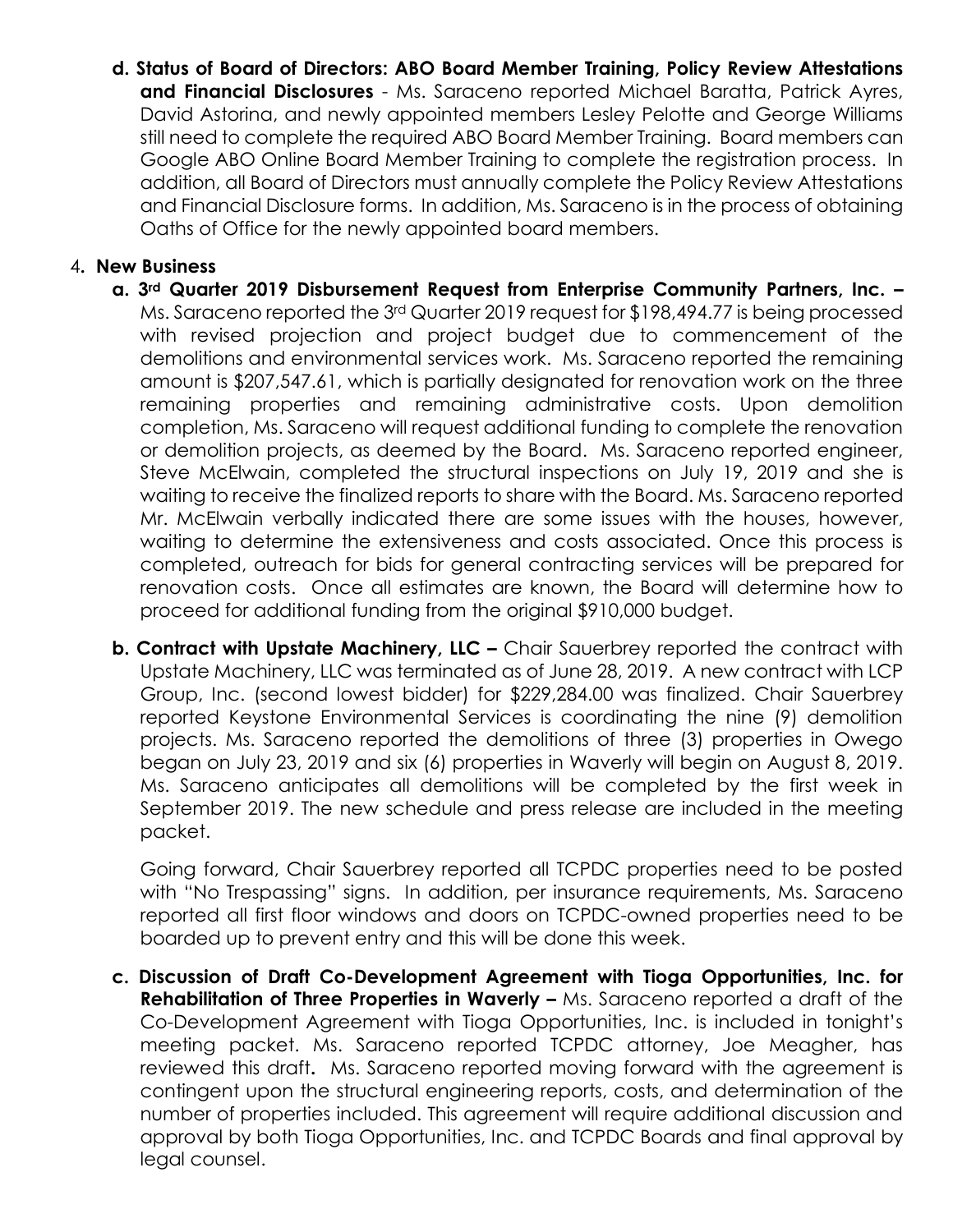**d. Status of Board of Directors: ABO Board Member Training, Policy Review Attestations and Financial Disclosures** - Ms. Saraceno reported Michael Baratta, Patrick Ayres, David Astorina, and newly appointed members Lesley Pelotte and George Williams still need to complete the required ABO Board Member Training. Board members can Google ABO Online Board Member Training to complete the registration process. In addition, all Board of Directors must annually complete the Policy Review Attestations and Financial Disclosure forms. In addition, Ms. Saraceno is in the process of obtaining Oaths of Office for the newly appointed board members.

## 4**. New Business**

- **a. 3rd Quarter 2019 Disbursement Request from Enterprise Community Partners, Inc. –**  Ms. Saraceno reported the 3rd Quarter 2019 request for \$198,494.77 is being processed with revised projection and project budget due to commencement of the demolitions and environmental services work. Ms. Saraceno reported the remaining amount is \$207,547.61, which is partially designated for renovation work on the three remaining properties and remaining administrative costs. Upon demolition completion, Ms. Saraceno will request additional funding to complete the renovation or demolition projects, as deemed by the Board. Ms. Saraceno reported engineer, Steve McElwain, completed the structural inspections on July 19, 2019 and she is waiting to receive the finalized reports to share with the Board. Ms. Saraceno reported Mr. McElwain verbally indicated there are some issues with the houses, however, waiting to determine the extensiveness and costs associated. Once this process is completed, outreach for bids for general contracting services will be prepared for renovation costs. Once all estimates are known, the Board will determine how to proceed for additional funding from the original \$910,000 budget.
- **b. Contract with Upstate Machinery, LLC –** Chair Sauerbrey reported the contract with Upstate Machinery, LLC was terminated as of June 28, 2019. A new contract with LCP Group, Inc. (second lowest bidder) for \$229,284.00 was finalized. Chair Sauerbrey reported Keystone Environmental Services is coordinating the nine (9) demolition projects. Ms. Saraceno reported the demolitions of three (3) properties in Owego began on July 23, 2019 and six (6) properties in Waverly will begin on August 8, 2019. Ms. Saraceno anticipates all demolitions will be completed by the first week in September 2019. The new schedule and press release are included in the meeting packet.

Going forward, Chair Sauerbrey reported all TCPDC properties need to be posted with "No Trespassing" signs. In addition, per insurance requirements, Ms. Saraceno reported all first floor windows and doors on TCPDC-owned properties need to be boarded up to prevent entry and this will be done this week.

**c. Discussion of Draft Co-Development Agreement with Tioga Opportunities, Inc. for Rehabilitation of Three Properties in Waverly –** Ms. Saraceno reported a draft of the Co-Development Agreement with Tioga Opportunities, Inc. is included in tonight's meeting packet. Ms. Saraceno reported TCPDC attorney, Joe Meagher, has reviewed this draft**.** Ms. Saraceno reported moving forward with the agreement is contingent upon the structural engineering reports, costs, and determination of the number of properties included. This agreement will require additional discussion and approval by both Tioga Opportunities, Inc. and TCPDC Boards and final approval by legal counsel.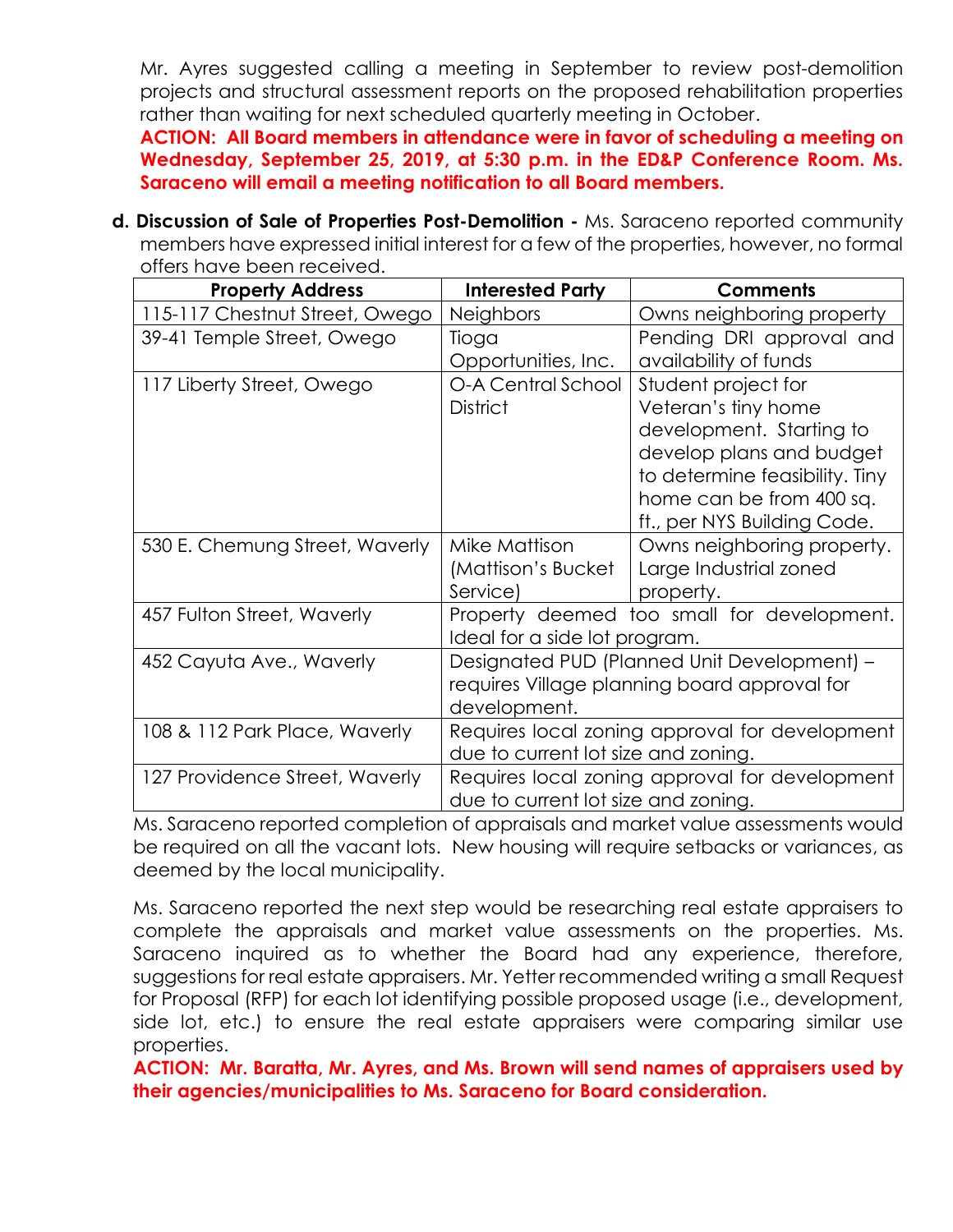Mr. Ayres suggested calling a meeting in September to review post-demolition projects and structural assessment reports on the proposed rehabilitation properties rather than waiting for next scheduled quarterly meeting in October.

**ACTION: All Board members in attendance were in favor of scheduling a meeting on Wednesday, September 25, 2019, at 5:30 p.m. in the ED&P Conference Room. Ms. Saraceno will email a meeting notification to all Board members.** 

**d. Discussion of Sale of Properties Post-Demolition -** Ms. Saraceno reported community members have expressed initial interest for a few of the properties, however, no formal offers have been received.

| <b>Property Address</b>        | <b>Interested Party</b>                                                                     | <b>Comments</b>                |
|--------------------------------|---------------------------------------------------------------------------------------------|--------------------------------|
| 115-117 Chestnut Street, Owego | <b>Neighbors</b>                                                                            | Owns neighboring property      |
| 39-41 Temple Street, Owego     | Tioga                                                                                       | Pending DRI approval and       |
|                                | Opportunities, Inc.                                                                         | availability of funds          |
| 117 Liberty Street, Owego      | O-A Central School                                                                          | Student project for            |
|                                | <b>District</b>                                                                             | Veteran's tiny home            |
|                                |                                                                                             | development. Starting to       |
|                                |                                                                                             | develop plans and budget       |
|                                |                                                                                             | to determine feasibility. Tiny |
|                                |                                                                                             | home can be from 400 sq.       |
|                                |                                                                                             | ft., per NYS Building Code.    |
| 530 E. Chemung Street, Waverly | Mike Mattison                                                                               | Owns neighboring property.     |
|                                | (Mattison's Bucket                                                                          | Large Industrial zoned         |
|                                | Service)                                                                                    | property.                      |
| 457 Fulton Street, Waverly     | Property deemed too small for development.                                                  |                                |
|                                | Ideal for a side lot program.                                                               |                                |
| 452 Cayuta Ave., Waverly       | Designated PUD (Planned Unit Development) -<br>requires Village planning board approval for |                                |
|                                |                                                                                             |                                |
|                                | development.                                                                                |                                |
| 108 & 112 Park Place, Waverly  | Requires local zoning approval for development                                              |                                |
|                                | due to current lot size and zoning.                                                         |                                |
| 127 Providence Street, Waverly | Requires local zoning approval for development                                              |                                |
|                                | due to current lot size and zoning.                                                         |                                |

Ms. Saraceno reported completion of appraisals and market value assessments would be required on all the vacant lots. New housing will require setbacks or variances, as deemed by the local municipality.

Ms. Saraceno reported the next step would be researching real estate appraisers to complete the appraisals and market value assessments on the properties. Ms. Saraceno inquired as to whether the Board had any experience, therefore, suggestions for real estate appraisers. Mr. Yetter recommended writing a small Request for Proposal (RFP) for each lot identifying possible proposed usage (i.e., development, side lot, etc.) to ensure the real estate appraisers were comparing similar use properties.

**ACTION: Mr. Baratta, Mr. Ayres, and Ms. Brown will send names of appraisers used by their agencies/municipalities to Ms. Saraceno for Board consideration.**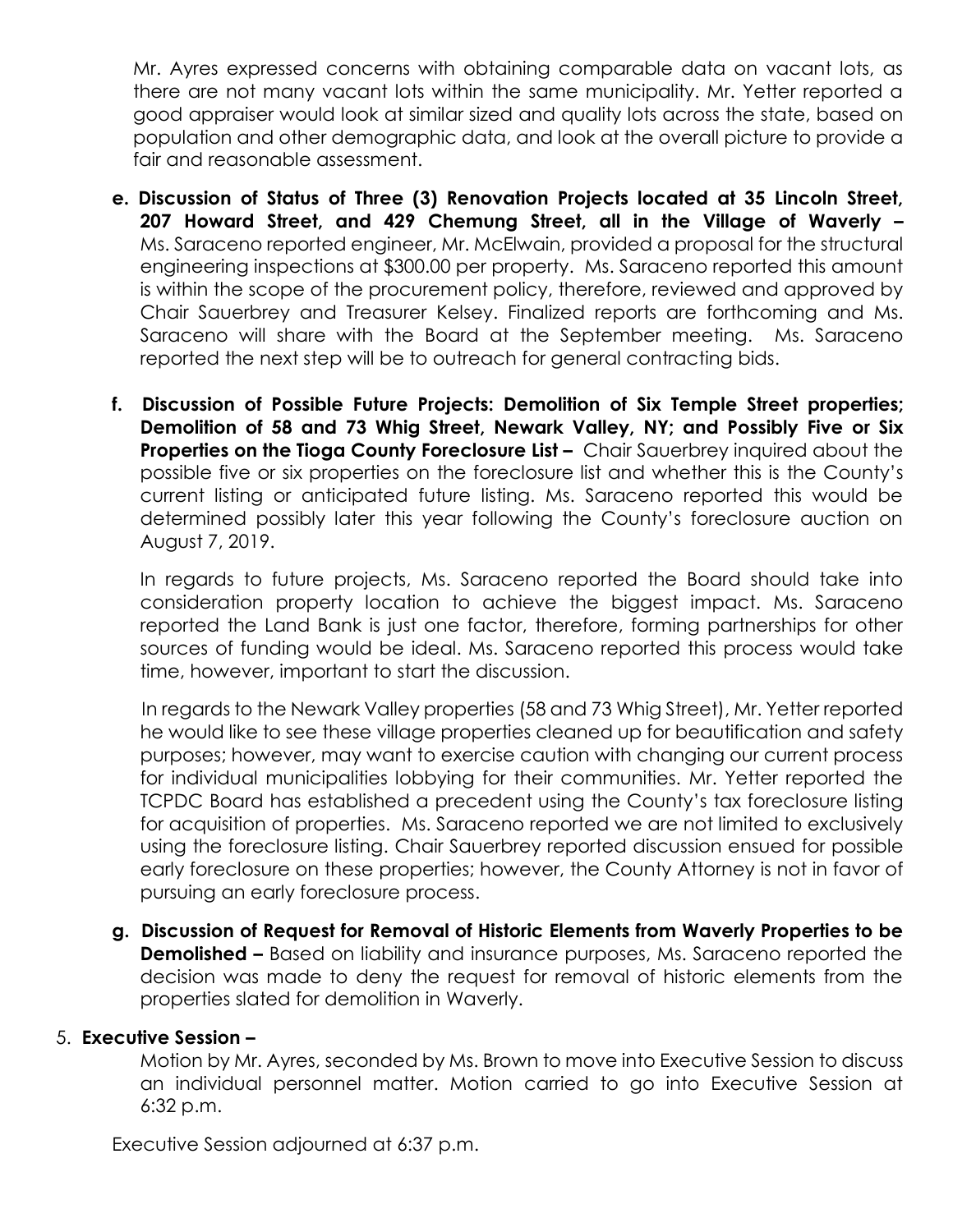Mr. Ayres expressed concerns with obtaining comparable data on vacant lots, as there are not many vacant lots within the same municipality. Mr. Yetter reported a good appraiser would look at similar sized and quality lots across the state, based on population and other demographic data, and look at the overall picture to provide a fair and reasonable assessment.

- **e. Discussion of Status of Three (3) Renovation Projects located at 35 Lincoln Street, 207 Howard Street, and 429 Chemung Street, all in the Village of Waverly –** Ms. Saraceno reported engineer, Mr. McElwain, provided a proposal for the structural engineering inspections at \$300.00 per property. Ms. Saraceno reported this amount is within the scope of the procurement policy, therefore, reviewed and approved by Chair Sauerbrey and Treasurer Kelsey. Finalized reports are forthcoming and Ms. Saraceno will share with the Board at the September meeting. Ms. Saraceno reported the next step will be to outreach for general contracting bids.
- **f. Discussion of Possible Future Projects: Demolition of Six Temple Street properties; Demolition of 58 and 73 Whig Street, Newark Valley, NY; and Possibly Five or Six Properties on the Tioga County Foreclosure List -** Chair Sauerbrey inquired about the possible five or six properties on the foreclosure list and whether this is the County's current listing or anticipated future listing. Ms. Saraceno reported this would be determined possibly later this year following the County's foreclosure auction on August 7, 2019.

In regards to future projects, Ms. Saraceno reported the Board should take into consideration property location to achieve the biggest impact. Ms. Saraceno reported the Land Bank is just one factor, therefore, forming partnerships for other sources of funding would be ideal. Ms. Saraceno reported this process would take time, however, important to start the discussion.

In regards to the Newark Valley properties (58 and 73 Whig Street), Mr. Yetter reported he would like to see these village properties cleaned up for beautification and safety purposes; however, may want to exercise caution with changing our current process for individual municipalities lobbying for their communities. Mr. Yetter reported the TCPDC Board has established a precedent using the County's tax foreclosure listing for acquisition of properties. Ms. Saraceno reported we are not limited to exclusively using the foreclosure listing. Chair Sauerbrey reported discussion ensued for possible early foreclosure on these properties; however, the County Attorney is not in favor of pursuing an early foreclosure process.

**g. Discussion of Request for Removal of Historic Elements from Waverly Properties to be Demolished –** Based on liability and insurance purposes, Ms. Saraceno reported the decision was made to deny the request for removal of historic elements from the properties slated for demolition in Waverly.

## 5. **Executive Session –**

Motion by Mr. Ayres, seconded by Ms. Brown to move into Executive Session to discuss an individual personnel matter. Motion carried to go into Executive Session at 6:32 p.m.

Executive Session adjourned at 6:37 p.m.